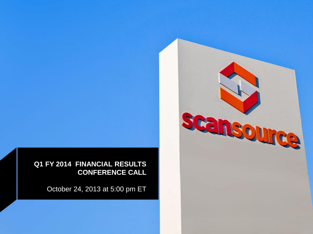**Q1 FY 2014 FINANCIAL RESULTS CONFERENCE CALL**

October 24, 2013 at 5:00 pm ET

scansource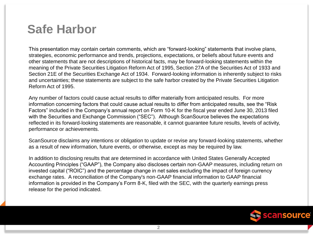## **Safe Harbor**

This presentation may contain certain comments, which are "forward-looking" statements that involve plans, strategies, economic performance and trends, projections, expectations, or beliefs about future events and other statements that are not descriptions of historical facts, may be forward-looking statements within the meaning of the Private Securities Litigation Reform Act of 1995, Section 27A of the Securities Act of 1933 and Section 21E of the Securities Exchange Act of 1934. Forward-looking information is inherently subject to risks and uncertainties; these statements are subject to the safe harbor created by the Private Securities Litigation Reform Act of 1995.

Any number of factors could cause actual results to differ materially from anticipated results. For more information concerning factors that could cause actual results to differ from anticipated results, see the "Risk Factors" included in the Company's annual report on Form 10-K for the fiscal year ended June 30, 2013 filed with the Securities and Exchange Commission ("SEC"). Although ScanSource believes the expectations reflected in its forward-looking statements are reasonable, it cannot guarantee future results, levels of activity, performance or achievements.

ScanSource disclaims any intentions or obligation to update or revise any forward-looking statements, whether as a result of new information, future events, or otherwise, except as may be required by law.

In addition to disclosing results that are determined in accordance with United States Generally Accepted Accounting Principles ("GAAP"), the Company also discloses certain non-GAAP measures, including return on invested capital ("ROIC") and the percentage change in net sales excluding the impact of foreign currency exchange rates. A reconciliation of the Company's non-GAAP financial information to GAAP financial information is provided in the Company's Form 8-K, filed with the SEC, with the quarterly earnings press release for the period indicated.

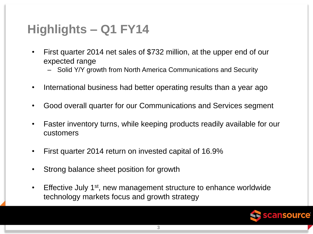# **Highlights – Q1 FY14**

- First quarter 2014 net sales of \$732 million, at the upper end of our expected range
	- Solid Y/Y growth from North America Communications and Security
- International business had better operating results than a year ago
- Good overall quarter for our Communications and Services segment
- Faster inventory turns, while keeping products readily available for our customers
- First quarter 2014 return on invested capital of 16.9%
- Strong balance sheet position for growth
- Effective July 1<sup>st</sup>, new management structure to enhance worldwide technology markets focus and growth strategy

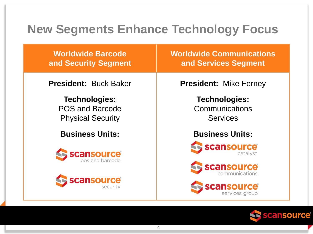# **New Segments Enhance Technology Focus**

**Worldwide Barcode and Security Segment**

**President:** Buck Baker

**Technologies:** POS and Barcode Physical Security

**Business Units:**





**Worldwide Communications and Services Segment**

**President:** Mike Ferney

**Technologies: Communications Services** 

**Business Units:**







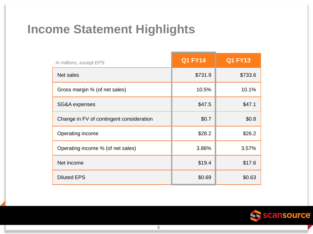# **Income Statement Highlights**

| In millions, except EPS                  | <b>Q1 FY14</b> | <b>Q1 FY13</b> |
|------------------------------------------|----------------|----------------|
| Net sales                                | \$731.9        | \$733.6        |
| Gross margin % (of net sales)            | 10.5%          | 10.1%          |
| SG&A expenses                            | \$47.5         | \$47.1         |
| Change in FV of contingent consideration | \$0.7          | \$0.8          |
| Operating income                         | \$28.2         | \$26.2         |
| Operating income % (of net sales)        | 3.86%          | 3.57%          |
| Net income                               | \$19.4         | \$17.6         |
| <b>Diluted EPS</b>                       | \$0.69         | \$0.63         |

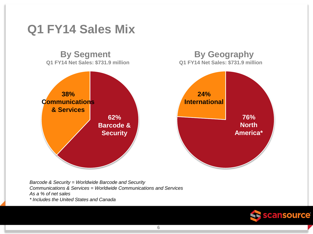### **Q1 FY14 Sales Mix**

**By Segment By Geography Q1 FY14 Net Sales: \$731.9 million Q1 FY14 Net Sales: \$731.9 million**



*Barcode & Security = Worldwide Barcode and Security Communications & Services = Worldwide Communications and Services As a % of net sales \* Includes the United States and Canada*

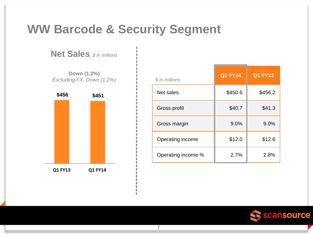### **WW Barcode & Security Segment**

**7**

**Net Sales***, \$ in millions*

**Down (1.2%)** *Excluding FX, Down (1.2%)*



| \$ in millions     | <b>Q1 FY14</b> | <b>Q1 FY13</b> |
|--------------------|----------------|----------------|
| Net sales          | \$450.6        | \$456.2        |
| Gross profit       | \$40.7         | \$41.3         |
| Gross margin       | 9.0%           | 9.0%           |
| Operating income   | \$12.0         | \$12.6         |
| Operating income % | 2.7%           | 2.8%           |

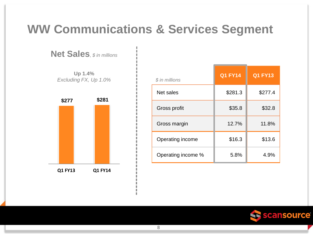# **WW Communications & Services Segment**

**Net Sales***, \$ in millions*

**Up 1.4%** *Excluding FX, Up 1.0%*



| \$ in millions     | <b>Q1 FY14</b> | <b>Q1 FY13</b> |
|--------------------|----------------|----------------|
| Net sales          | \$281.3        | \$277.4        |
| Gross profit       | \$35.8         | \$32.8         |
| Gross margin       | 12.7%          | 11.8%          |
| Operating income   | \$16.3         | \$13.6         |
| Operating income % | 5.8%           | 4.9%           |

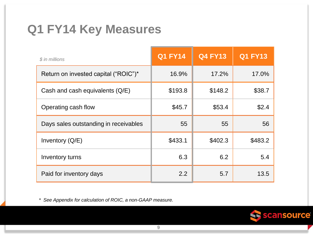# **Q1 FY14 Key Measures**

| \$ in millions                        | <b>Q1 FY14</b> | <b>Q4 FY13</b> | <b>Q1 FY13</b> |
|---------------------------------------|----------------|----------------|----------------|
| Return on invested capital ("ROIC")*  | 16.9%          | 17.2%          | 17.0%          |
| Cash and cash equivalents (Q/E)       | \$193.8        | \$148.2        | \$38.7         |
| Operating cash flow                   | \$45.7         | \$53.4         | \$2.4          |
| Days sales outstanding in receivables | 55             | 55             | 56             |
| Inventory $(Q/E)$                     | \$433.1        | \$402.3        | \$483.2        |
| Inventory turns                       | 6.3            | 6.2            | 5.4            |
| Paid for inventory days               | 2.2            | 5.7            | 13.5           |

*\* See Appendix for calculation of ROIC, a non-GAAP measure.*

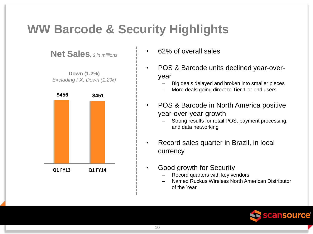# **WW Barcode & Security Highlights**

**Net Sales***, \$ in millions*

**Down (1.2%)** *Excluding FX, Down (1.2%)*



- 62% of overall sales
- POS & Barcode units declined year-overyear
	- Big deals delayed and broken into smaller pieces
	- More deals going direct to Tier 1 or end users
- POS & Barcode in North America positive year-over-year growth
	- Strong results for retail POS, payment processing, and data networking
- Record sales quarter in Brazil, in local currency
- Good growth for Security
	- Record quarters with key vendors
	- Named Ruckus Wireless North American Distributor of the Year

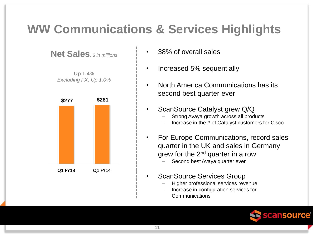# **WW Communications & Services Highlights**

**Net Sales***, \$ in millions*

**Up 1.4%** *Excluding FX, Up 1.0%*



- 38% of overall sales
- Increased 5% sequentially
- North America Communications has its second best quarter ever
- ScanSource Catalyst grew Q/Q
	- Strong Avaya growth across all products
	- Increase in the # of Catalyst customers for Cisco
- For Europe Communications, record sales quarter in the UK and sales in Germany grew for the 2<sup>nd</sup> quarter in a row
	- Second best Avaya quarter ever
- ScanSource Services Group
	- Higher professional services revenue
	- Increase in configuration services for **Communications**

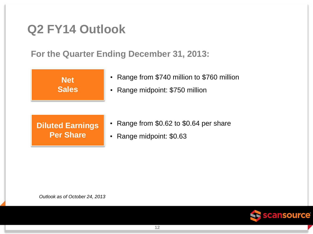# **Q2 FY14 Outlook**

**For the Quarter Ending December 31, 2013:**



- Range from \$740 million to \$760 million
- Range midpoint: \$750 million

#### **Diluted Earnings Per Share**

- Range from \$0.62 to \$0.64 per share
- Range midpoint: \$0.63

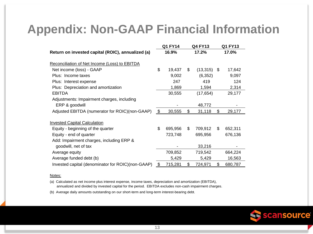# **Appendix: Non-GAAP Financial Information**

|                                                   | Q1 FY14       | Q4 FY13             | Q1 FY13       |
|---------------------------------------------------|---------------|---------------------|---------------|
| Return on invested capital (ROIC), annualized (a) | 16.9%         | 17.2%               | 17.0%         |
| Reconciliation of Net Income (Loss) to EBITDA     |               |                     |               |
| Net income (loss) - GAAP                          | \$<br>19,437  | \$<br>$(13,315)$ \$ | 17,642        |
| Plus: Income taxes                                | 9,002         | (6, 352)            | 9,097         |
| Plus: Interest expense                            | 247           | 419                 | 124           |
| Plus: Depreciation and amortization               | 1,869         | 1,594               | 2,314         |
| <b>EBITDA</b>                                     | 30,555        | (17, 654)           | 29,177        |
| Adjustments: Impairment charges, including        |               |                     |               |
| ERP & goodwill                                    |               | 48,772              |               |
| Adjusted EBITDA (numerator for ROIC)(non-GAAP)    | \$<br>30,555  | \$<br>31,118        | \$<br>29,177  |
| <b>Invested Capital Calculation</b>               |               |                     |               |
| Equity - beginning of the quarter                 | \$<br>695,956 | \$<br>709,912       | \$<br>652,311 |
| Equity - end of quarter                           | 723,748       | 695,956             | 676,136       |
| Add: Impairment charges, including ERP &          |               |                     |               |
| goodwill, net of tax                              |               | 33,216              |               |
| Average equity                                    | 709,852       | 719,542             | 664,224       |
| Average funded debt (b)                           | 5,429         | 5,429               | 16,563        |
| Invested capital (denominator for ROIC)(non-GAAP) | \$<br>715,281 | \$<br>724,971       | \$<br>680,787 |

#### Notes:

(a) Calculated as net income plus interest expense, income taxes, depreciation and amortization (EBITDA), annualized and divided by invested capital for the period. EBITDA excludes non-cash impairment charges.

(b) Average daily amounts outstanding on our short-term and long-term interest-bearing debt.